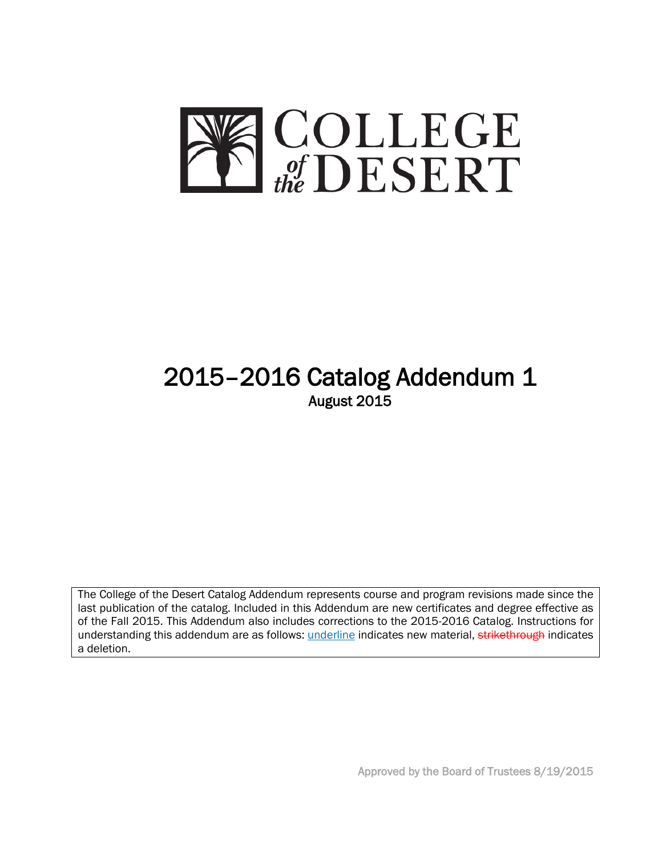

# 2015–2016 Catalog Addendum 1<br>August 2015

The College of the Desert Catalog Addendum represents course and program revisions made since the last publication of the catalog. Included in this Addendum are new certificates and degree effective as of the Fall 2015. This Addendum also includes corrections to the 2015-2016 Catalog. Instructions for understanding this addendum are as follows: *underline* indicates new material, strikethrough indicates a deletion.

Approved by the Board of Trustees 8/19/2015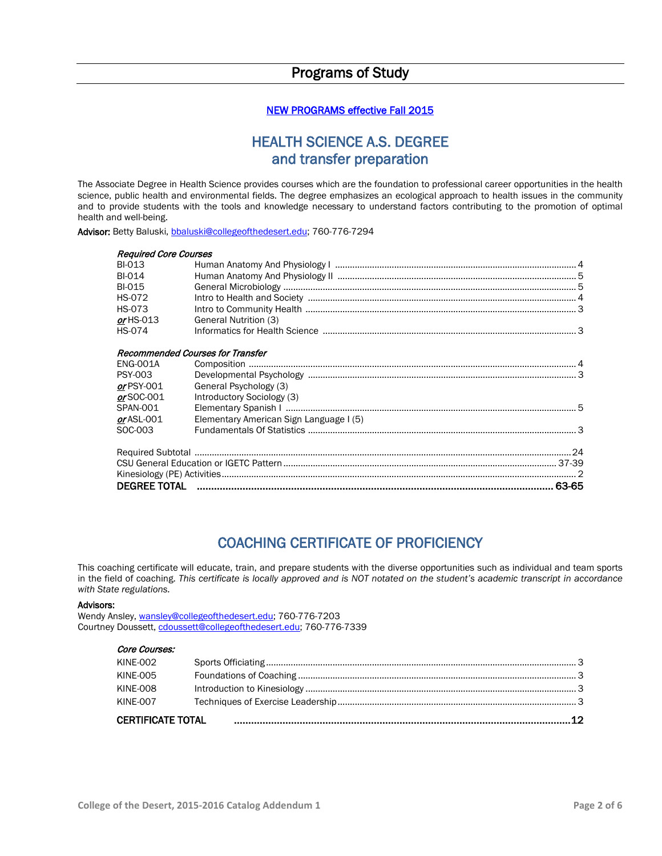## Programs of Study

#### NEW PROGRAMS effective Fall 2015

## HEALTH SCIENCE A.S. DEGREE and transfer preparation

The Associate Degree in Health Science provides courses which are the foundation to professional career opportunities in the health science, public health and environmental fields. The degree emphasizes an ecological approach to health issues in the community and to provide students with the tools and knowledge necessary to understand factors contributing to the promotion of optimal health and well-being.

Advisor: Betty Baluski, [bbaluski@collegeofthedesert.edu;](mailto:bbaluski@collegeofthedesert.edu) 760-776-7294

| <b>Reauired Core Courses</b> |                                         |  |  |
|------------------------------|-----------------------------------------|--|--|
| <b>BI-013</b>                |                                         |  |  |
| <b>BI-014</b>                |                                         |  |  |
| <b>BI-015</b>                |                                         |  |  |
| <b>HS-072</b>                |                                         |  |  |
| <b>HS-073</b>                |                                         |  |  |
| $or$ HS-013                  | General Nutrition (3)                   |  |  |
| <b>HS-074</b>                |                                         |  |  |
|                              |                                         |  |  |
|                              | <b>Recommended Courses for Transfer</b> |  |  |
| <b>ENG-001A</b>              |                                         |  |  |
| <b>PSY-003</b>               |                                         |  |  |
| $or$ PSY-001                 | General Psychology (3)                  |  |  |
| $or$ SOC-001                 | Introductory Sociology (3)              |  |  |
| SPAN-001                     |                                         |  |  |
| $or$ ASL-001                 | Elementary American Sign Language I (5) |  |  |
| SOC-003                      | Elementary American organization (19)   |  |  |
|                              |                                         |  |  |
|                              |                                         |  |  |
|                              |                                         |  |  |
|                              |                                         |  |  |
|                              |                                         |  |  |
|                              |                                         |  |  |

## COACHING CERTIFICATE OF PROFICIENCY

This coaching certificate will educate, train, and prepare students with the diverse opportunities such as individual and team sports in the field of coaching. *This certificate is locally approved and is NOT notated on the student's academic transcript in accordance with State regulations.*

#### Advisors:

Wendy Ansley[, wansley@collegeofthedesert.edu;](mailto:wansley@collegeofthedesert.edu) 760-776-7203 Courtney Doussett[, cdoussett@collegeofthedesert.edu;](mailto:cdoussett@collegeofthedesert.edu) 760-776-7339

#### Core Courses:

| KINE-007 |  |  |  |
|----------|--|--|--|
| KINE-008 |  |  |  |
| KINE-005 |  |  |  |
| KINE-002 |  |  |  |
|          |  |  |  |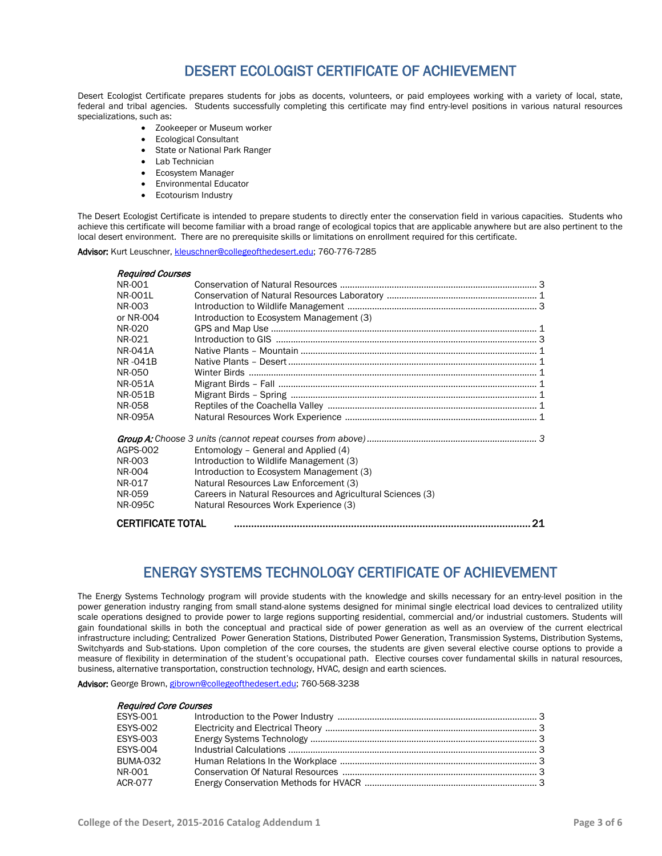## DESERT ECOLOGIST CERTIFICATE OF ACHIEVEMENT

Desert Ecologist Certificate prepares students for jobs as docents, volunteers, or paid employees working with a variety of local, state, federal and tribal agencies. Students successfully completing this certificate may find entry-level positions in various natural resources specializations, such as:

- Zookeeper or Museum worker
- Ecological Consultant
- State or National Park Ranger
- Lab Technician
- Ecosystem Manager
- Environmental Educator
- Ecotourism Industry

The Desert Ecologist Certificate is intended to prepare students to directly enter the conservation field in various capacities. Students who achieve this certificate will become familiar with a broad range of ecological topics that are applicable anywhere but are also pertinent to the local desert environment. There are no prerequisite skills or limitations on enrollment required for this certificate.

Advisor: Kurt Leuschner[, kleuschner@collegeofthedesert.edu;](mailto:kleuschner@collegeofthedesert.edu) 760-776-7285

| <b>Required Courses</b>  |                                                            |  |
|--------------------------|------------------------------------------------------------|--|
| NR-001                   |                                                            |  |
| NR-0011                  |                                                            |  |
| NR-003                   |                                                            |  |
| or NR-004                | Introduction to Ecosystem Management (3)                   |  |
| NR-020                   |                                                            |  |
| NR-021                   |                                                            |  |
| <b>NR-041A</b>           |                                                            |  |
| NR-041B                  |                                                            |  |
| NR-050                   |                                                            |  |
| <b>NR-051A</b>           |                                                            |  |
| <b>NR-051B</b>           |                                                            |  |
| NR-058                   |                                                            |  |
| <b>NR-095A</b>           |                                                            |  |
|                          |                                                            |  |
| AGPS-002                 | Entomology - General and Applied (4)                       |  |
| NR-003                   | Introduction to Wildlife Management (3)                    |  |
| NR-004                   | Introduction to Ecosystem Management (3)                   |  |
| NR-017                   | Natural Resources Law Enforcement (3)                      |  |
| NR-059                   | Careers in Natural Resources and Agricultural Sciences (3) |  |
| NR-095C                  | Natural Resources Work Experience (3)                      |  |
| <b>CERTIFICATE TOTAL</b> | 21                                                         |  |

## ENERGY SYSTEMS TECHNOLOGY CERTIFICATE OF ACHIEVEMENT

The Energy Systems Technology program will provide students with the knowledge and skills necessary for an entry-level position in the power generation industry ranging from small stand-alone systems designed for minimal single electrical load devices to centralized utility scale operations designed to provide power to large regions supporting residential, commercial and/or industrial customers. Students will gain foundational skills in both the conceptual and practical side of power generation as well as an overview of the current electrical infrastructure including; Centralized Power Generation Stations, Distributed Power Generation, Transmission Systems, Distribution Systems, Switchyards and Sub-stations. Upon completion of the core courses, the students are given several elective course options to provide a measure of flexibility in determination of the student's occupational path. Elective courses cover fundamental skills in natural resources, business, alternative transportation, construction technology, HVAC, design and earth sciences.

Advisor: George Brown[, gibrown@collegeofthedesert.edu;](mailto:gibrown@collegeofthedesert.edu) 760-568-3238

| <b>Required Core Courses</b> |  |
|------------------------------|--|
|                              |  |
| <b>ESYS-002</b>              |  |
| <b>ESYS-003</b>              |  |
| <b>ESYS-004</b>              |  |
| <b>BUMA-032</b>              |  |
| NR-001                       |  |
| <b>ACR-077</b>               |  |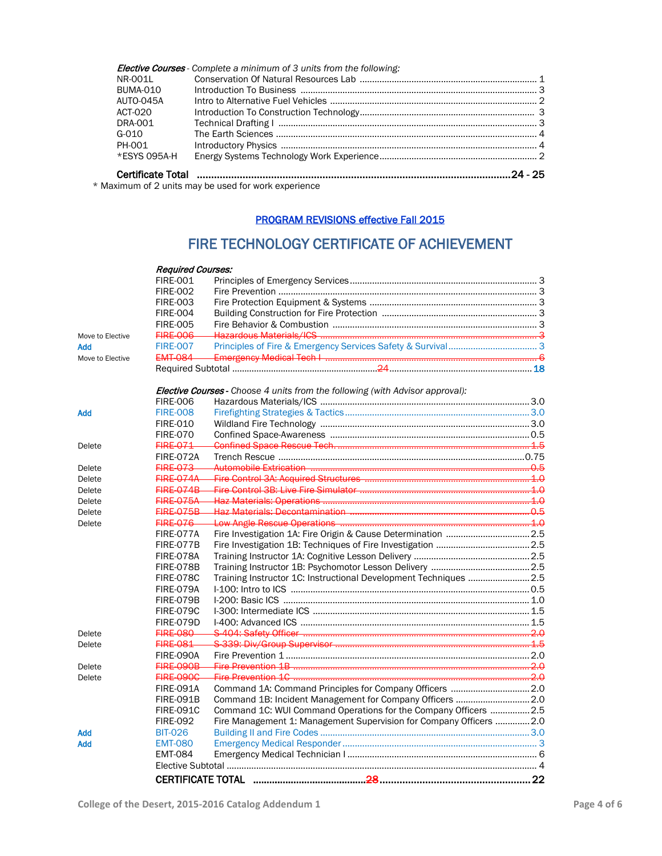|              | <b>Elective Courses</b> - Complete a minimum of 3 units from the following: |  |
|--------------|-----------------------------------------------------------------------------|--|
| NR-001L      |                                                                             |  |
| BUMA-010     |                                                                             |  |
| AUTO-045A    |                                                                             |  |
| ACT-020      |                                                                             |  |
| DRA-001      |                                                                             |  |
| G-010        |                                                                             |  |
| PH-001       |                                                                             |  |
| *ESYS 095A-H |                                                                             |  |
|              |                                                                             |  |

\* Maximum of 2 units may be used for work experience

#### PROGRAM REVISIONS effective Fall 2015

## FIRE TECHNOLOGY CERTIFICATE OF ACHIEVEMENT

|                  | <b>Required Courses:</b> |                                                                               |  |
|------------------|--------------------------|-------------------------------------------------------------------------------|--|
|                  | <b>FIRE-001</b>          |                                                                               |  |
|                  | <b>FIRE-002</b>          |                                                                               |  |
|                  | <b>FIRE-003</b>          |                                                                               |  |
|                  | <b>FIRE-004</b>          |                                                                               |  |
|                  | <b>FIRE-005</b>          |                                                                               |  |
| Move to Elective | <del>FIRE 006</del>      |                                                                               |  |
| <b>Add</b>       | <b>FIRE-007</b>          |                                                                               |  |
| Move to Elective | <b>EMT-084</b>           |                                                                               |  |
|                  |                          |                                                                               |  |
|                  |                          | Elective Courses - Choose 4 units from the following (with Advisor approval): |  |
|                  | <b>FIRE-006</b>          |                                                                               |  |
| <b>Add</b>       | <b>FIRE-008</b>          |                                                                               |  |
|                  | <b>FIRE-010</b>          |                                                                               |  |
|                  | <b>FIRE-070</b>          |                                                                               |  |
| Delete           | <b>FIRE 071</b>          |                                                                               |  |
|                  | <b>FIRE-072A</b>         |                                                                               |  |
| Delete           | <b>FIRE-073</b>          |                                                                               |  |
| Delete           | <b>FIRE-074A</b>         |                                                                               |  |
| Delete           | <b>FIRE 074B</b>         |                                                                               |  |
| Delete           | <b>FIRE 075A</b>         |                                                                               |  |
| Delete           | <b>FIRE-075B</b>         |                                                                               |  |
| Delete           | <b>FIRE 076</b>          |                                                                               |  |
|                  | FIRE-077A                | Fire Investigation 1A: Fire Origin & Cause Determination  2.5                 |  |
|                  | FIRE-077B                |                                                                               |  |
|                  | <b>FIRE-078A</b>         |                                                                               |  |
|                  | FIRE-078B                |                                                                               |  |
|                  | <b>FIRE-078C</b>         | Training Instructor 1C: Instructional Development Techniques  2.5             |  |
|                  | FIRE-079A                |                                                                               |  |
|                  | FIRE-079B                |                                                                               |  |
|                  | <b>FIRE-079C</b>         |                                                                               |  |
|                  | <b>FIRE-079D</b>         |                                                                               |  |
| Delete           | <b>FIRE 080</b>          |                                                                               |  |
| Delete           | <b>FIRE 081</b>          |                                                                               |  |
|                  | <b>FIRE-090A</b>         |                                                                               |  |
| Delete           | FIRE-090B                |                                                                               |  |
| Delete           | <b>FIRE-090C</b>         |                                                                               |  |
|                  | <b>FIRE-091A</b>         |                                                                               |  |
|                  | <b>FIRE-091B</b>         | Command 1B: Incident Management for Company Officers  2.0                     |  |
|                  | <b>FIRE-091C</b>         | Command 1C: WUI Command Operations for the Company Officers  2.5              |  |
|                  | <b>FIRE-092</b>          | Fire Management 1: Management Supervision for Company Officers  2.0           |  |
| <b>Add</b>       | <b>BIT-026</b>           |                                                                               |  |
| Add              | <b>EMT-080</b>           |                                                                               |  |
|                  | <b>EMT-084</b>           |                                                                               |  |
|                  |                          |                                                                               |  |
|                  |                          |                                                                               |  |
|                  |                          |                                                                               |  |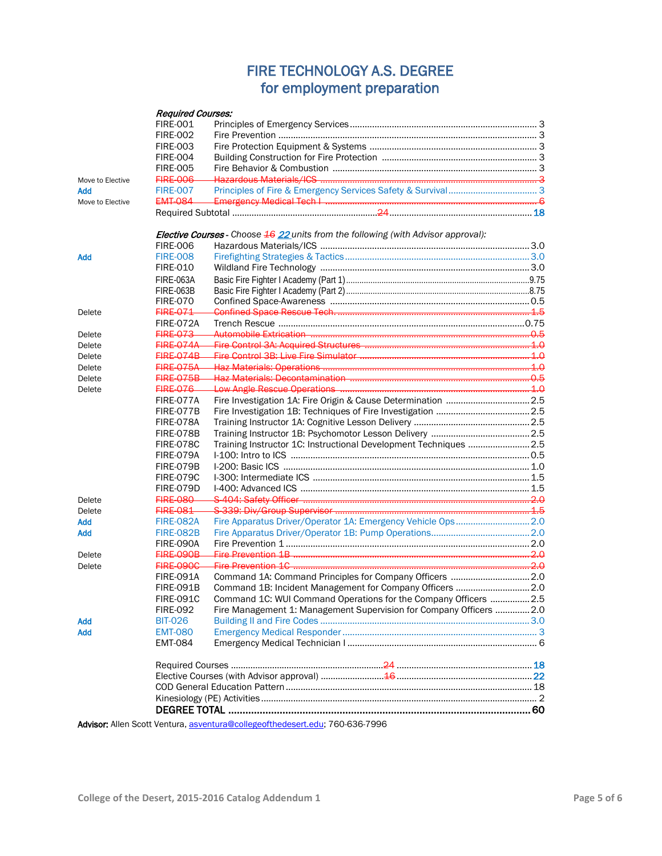## FIRE TECHNOLOGY A.S. DEGREE for employment preparation

|                  | <b>Required Courses:</b> |                                                                                                    |  |
|------------------|--------------------------|----------------------------------------------------------------------------------------------------|--|
|                  | <b>FIRE-001</b>          |                                                                                                    |  |
|                  | <b>FIRE-002</b>          |                                                                                                    |  |
|                  | <b>FIRE-003</b>          |                                                                                                    |  |
|                  | <b>FIRE-004</b>          |                                                                                                    |  |
|                  | <b>FIRE-005</b>          |                                                                                                    |  |
| Move to Elective | <b>FIRE 006</b>          |                                                                                                    |  |
| <b>Add</b>       | <b>FIRE-007</b>          |                                                                                                    |  |
| Move to Elective | <b>EMT-084</b>           |                                                                                                    |  |
|                  |                          |                                                                                                    |  |
|                  |                          | <b>Elective Courses</b> - Choose $\frac{46}{22}$ units from the following (with Advisor approval): |  |
|                  | <b>FIRE-006</b>          |                                                                                                    |  |
| <b>Add</b>       | <b>FIRE-008</b>          |                                                                                                    |  |
|                  | <b>FIRE-010</b>          |                                                                                                    |  |
|                  | <b>FIRE-063A</b>         |                                                                                                    |  |
|                  | FIRE-063B                |                                                                                                    |  |
|                  | <b>FIRE-070</b>          |                                                                                                    |  |
| Delete           | <b>FIRE-071</b>          |                                                                                                    |  |
|                  | FIRE-072A                |                                                                                                    |  |
| Delete           | <b>FIRE 073</b>          |                                                                                                    |  |
| Delete           | <b>FIRE 074A</b>         |                                                                                                    |  |
| Delete           | <b>FIRE-074B</b>         |                                                                                                    |  |
| Delete           | <b>FIRE-075A</b>         |                                                                                                    |  |
| Delete           | <b>FIRE-075B</b>         |                                                                                                    |  |
| Delete           | <b>FIRE 076</b>          |                                                                                                    |  |
|                  | FIRE-077A                |                                                                                                    |  |
|                  | FIRE-077B                |                                                                                                    |  |
|                  | FIRE-078A                |                                                                                                    |  |
|                  | FIRE-078B                |                                                                                                    |  |
|                  |                          | Training Instructor 1C: Instructional Development Techniques  2.5                                  |  |
|                  | FIRE-078C<br>FIRE-079A   |                                                                                                    |  |
|                  | FIRE-079B                |                                                                                                    |  |
|                  |                          |                                                                                                    |  |
|                  | FIRE-079C                |                                                                                                    |  |
|                  | FIRE-079D                |                                                                                                    |  |
| Delete           | <b>FIRE 080</b>          |                                                                                                    |  |
| Delete           | <b>FIRE 081</b>          |                                                                                                    |  |
| <b>Add</b>       | <b>FIRE-082A</b>         |                                                                                                    |  |
| <b>Add</b>       | <b>FIRE-082B</b>         |                                                                                                    |  |
|                  | FIRE-090A                |                                                                                                    |  |
| Delete           | FIRE-090B                |                                                                                                    |  |
| Delete           | <b>FIRE-090C</b>         | Fire Prevention 1C.                                                                                |  |
|                  | <b>FIRE-091A</b>         |                                                                                                    |  |
|                  | <b>FIRF-091B</b>         | Command 1B: Incident Management for Company Officers  2.0                                          |  |
|                  | <b>FIRE-091C</b>         | Command 1C: WUI Command Operations for the Company Officers  2.5                                   |  |
|                  | <b>FIRE-092</b>          | Fire Management 1: Management Supervision for Company Officers  2.0                                |  |
| <b>Add</b>       | <b>BIT-026</b>           |                                                                                                    |  |
| <b>Add</b>       | <b>EMT-080</b>           |                                                                                                    |  |
|                  | <b>EMT-084</b>           |                                                                                                    |  |
|                  |                          |                                                                                                    |  |
|                  |                          |                                                                                                    |  |
|                  |                          |                                                                                                    |  |
|                  |                          |                                                                                                    |  |
|                  |                          |                                                                                                    |  |
|                  |                          | Advisory Allen Centt Venture coverture@eellegeethedeeert.edu. 760.636.7006                         |  |

Advisor: Allen Scott Ventura, [asventura@collegeofthedesert.edu;](mailto:asventura@collegeofthedesert.edu) 760-636-7996